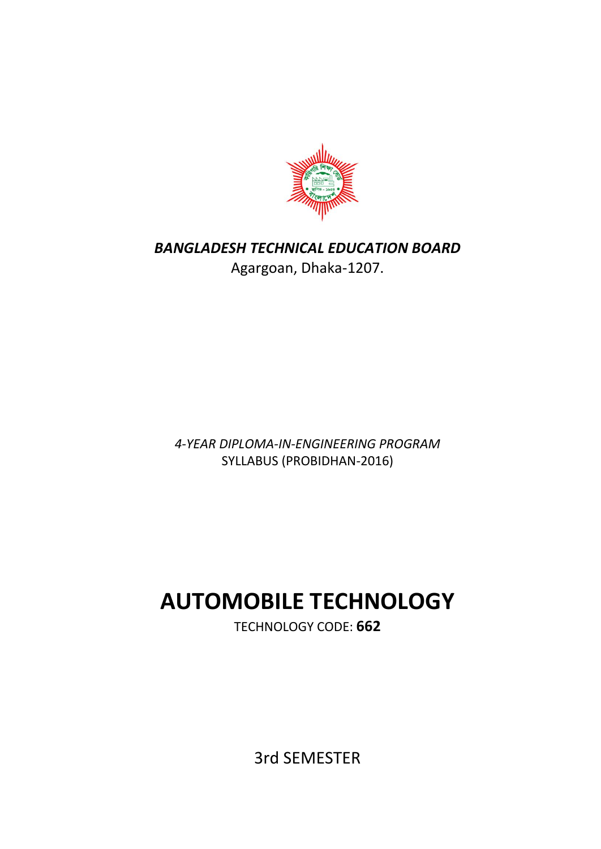

*BANGLADESH TECHNICAL EDUCATION BOARD* Agargoan, Dhaka-1207.

*4-YEAR DIPLOMA-IN-ENGINEERING PROGRAM* SYLLABUS (PROBIDHAN-2016)

# **AUTOMOBILE TECHNOLOGY**

TECHNOLOGY CODE: **662**

3rd SEMESTER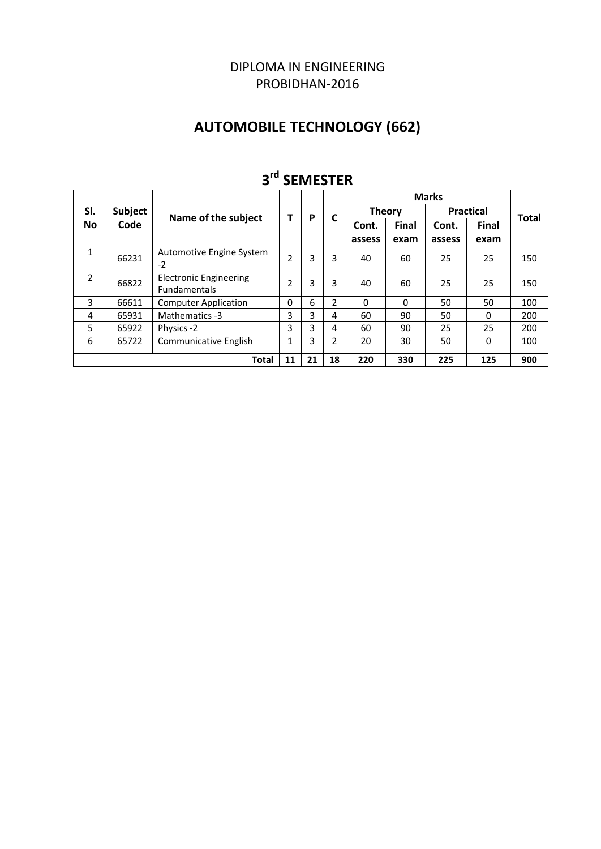# DIPLOMA IN ENGINEERING PROBIDHAN-2016

# **AUTOMOBILE TECHNOLOGY (662)**

| ت<br>JLIVILJ I LIV                                                |                |                                                      |          |   |   |               |              |        |                  |              |
|-------------------------------------------------------------------|----------------|------------------------------------------------------|----------|---|---|---------------|--------------|--------|------------------|--------------|
|                                                                   |                |                                                      |          |   |   | <b>Marks</b>  |              |        |                  |              |
| SI.                                                               | <b>Subject</b> |                                                      | т        | P |   | <b>Theory</b> |              |        | <b>Practical</b> | <b>Total</b> |
| <b>No</b>                                                         | Code           | Name of the subject                                  |          |   |   | Cont.         | <b>Final</b> | Cont.  | Final            |              |
|                                                                   |                |                                                      |          |   |   | assess        | exam         | assess | exam             |              |
| $\mathbf{1}$                                                      | 66231          | Automotive Engine System<br>$-2$                     | 2        | 3 | 3 | 40            | 60           | 25     | 25               | 150          |
| $\overline{2}$                                                    | 66822          | <b>Electronic Engineering</b><br><b>Fundamentals</b> | 2        | 3 | 3 | 40            | 60           | 25     | 25               | 150          |
| 3                                                                 | 66611          | <b>Computer Application</b>                          | $\Omega$ | 6 | 2 | $\Omega$      | $\Omega$     | 50     | 50               | 100          |
| 4                                                                 | 65931          | Mathematics -3                                       | 3        | 3 | 4 | 60            | 90           | 50     | $\Omega$         | 200          |
| 5                                                                 | 65922          | Physics -2                                           | 3        | 3 | 4 | 60            | 90           | 25     | 25               | 200          |
| 6                                                                 | 65722          | <b>Communicative English</b>                         | 1        | 3 | 2 | 20            | 30           | 50     | $\Omega$         | 100          |
| 18<br>220<br>900<br>11<br>21<br>330<br>225<br>125<br><b>Total</b> |                |                                                      |          |   |   |               |              |        |                  |              |

# **3 rd SEMESTER**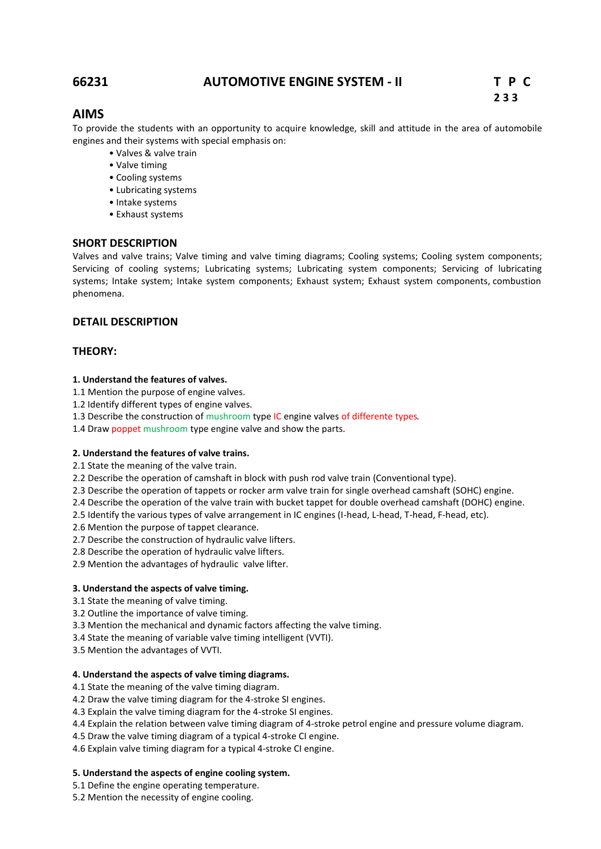# **66231 AUTOMOTIVE ENGINE SYSTEM - II T P C**

# **AIMS**

To provide the students with an opportunity to acquire knowledge, skill and attitude in the area of automobile engines and their systems with special emphasis on:

- Valves & valve train
- Valve timing
- Cooling systems
- Lubricating systems
- Intake systems
- Exhaust systems

#### **SHORT DESCRIPTION**

Valves and valve trains; Valve timing and valve timing diagrams; Cooling systems; Cooling system components; Servicing of cooling systems; Lubricating systems; Lubricating system components; Servicing of lubricating systems; Intake system; Intake system components; Exhaust system; Exhaust system components, combustion phenomena.

# **DETAIL DESCRIPTION**

# **THEORY:**

#### **1. Understand the features of valves.**

- 1.1 Mention the purpose of engine valves.
- 1.2 Identify different types of engine valves.
- 1.3 Describe the construction of mushroom type IC engine valves of differente types.
- 1.4 Draw poppet mushroom type engine valve and show the parts.

#### **2. Understand the features of valve trains.**

2.1 State the meaning of the valve train.

2.2 Describe the operation of camshaft in block with push rod valve train (Conventional type).

- 2.3 Describe the operation of tappets or rocker arm valve train for single overhead camshaft (SOHC) engine.
- 2.4 Describe the operation of the valve train with bucket tappet for double overhead camshaft (DOHC) engine.

2.5 Identify the various types of valve arrangement in IC engines (I-head, L-head, T-head, F-head, etc).

2.6 Mention the purpose of tappet clearance.

- 2.7 Describe the construction of hydraulic valve lifters.
- 2.8 Describe the operation of hydraulic valve lifters.
- 2.9 Mention the advantages of hydraulic valve lifter.

#### **3. Understand the aspects of valve timing.**

- 3.1 State the meaning of valve timing.
- 3.2 Outline the importance of valve timing.
- 3.3 Mention the mechanical and dynamic factors affecting the valve timing.
- 3.4 State the meaning of variable valve timing intelligent (VVTI).
- 3.5 Mention the advantages of VVTI.

#### **4. Understand the aspects of valve timing diagrams.**

- 4.1 State the meaning of the valve timing diagram.
- 4.2 Draw the valve timing diagram for the 4-stroke SI engines.
- 4.3 Explain the valve timing diagram for the 4-stroke SI engines.
- 4.4 Explain the relation between valve timing diagram of 4-stroke petrol engine and pressure volume diagram.
- 4.5 Draw the valve timing diagram of a typical 4-stroke CI engine.

4.6 Explain valve timing diagram for a typical 4-stroke CI engine.

#### **5. Understand the aspects of engine cooling system.**

5.1 Define the engine operating temperature.

5.2 Mention the necessity of engine cooling.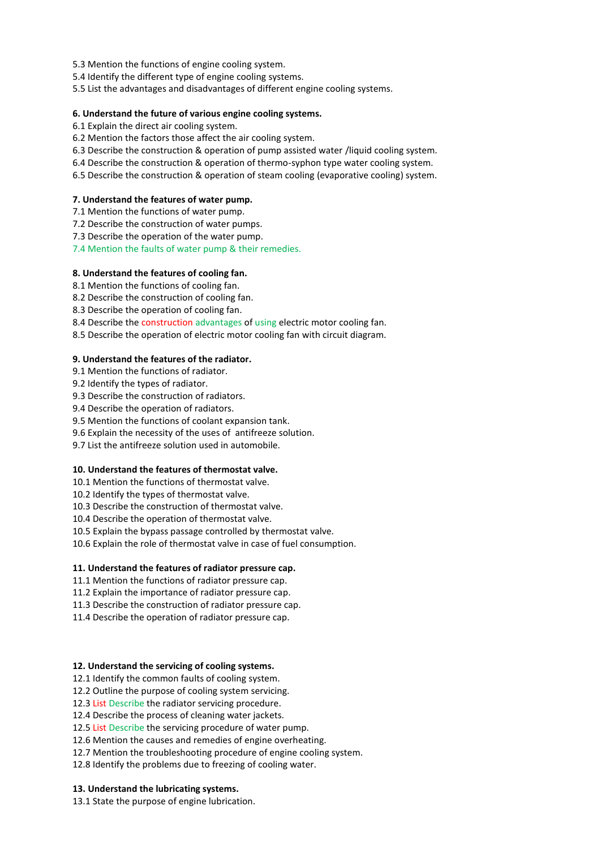- 5.3 Mention the functions of engine cooling system.
- 5.4 Identify the different type of engine cooling systems.
- 5.5 List the advantages and disadvantages of different engine cooling systems.

#### **6. Understand the future of various engine cooling systems.**

- 6.1 Explain the direct air cooling system.
- 6.2 Mention the factors those affect the air cooling system.
- 6.3 Describe the construction & operation of pump assisted water /liquid cooling system.
- 6.4 Describe the construction & operation of thermo-syphon type water cooling system.
- 6.5 Describe the construction & operation of steam cooling (evaporative cooling) system.

#### **7. Understand the features of water pump.**

- 7.1 Mention the functions of water pump.
- 7.2 Describe the construction of water pumps.
- 7.3 Describe the operation of the water pump.
- 7.4 Mention the faults of water pump & their remedies.

#### **8. Understand the features of cooling fan.**

- 8.1 Mention the functions of cooling fan.
- 8.2 Describe the construction of cooling fan.
- 8.3 Describe the operation of cooling fan.
- 8.4 Describe the construction advantages of using electric motor cooling fan.
- 8.5 Describe the operation of electric motor cooling fan with circuit diagram.

#### **9. Understand the features of the radiator.**

- 9.1 Mention the functions of radiator.
- 9.2 Identify the types of radiator.
- 9.3 Describe the construction of radiators.
- 9.4 Describe the operation of radiators.
- 9.5 Mention the functions of coolant expansion tank.
- 9.6 Explain the necessity of the uses of antifreeze solution.
- 9.7 List the antifreeze solution used in automobile.

#### **10. Understand the features of thermostat valve.**

- 10.1 Mention the functions of thermostat valve.
- 10.2 Identify the types of thermostat valve.
- 10.3 Describe the construction of thermostat valve.
- 10.4 Describe the operation of thermostat valve.
- 10.5 Explain the bypass passage controlled by thermostat valve.
- 10.6 Explain the role of thermostat valve in case of fuel consumption.

#### **11. Understand the features of radiator pressure cap.**

- 11.1 Mention the functions of radiator pressure cap.
- 11.2 Explain the importance of radiator pressure cap.
- 11.3 Describe the construction of radiator pressure cap.
- 11.4 Describe the operation of radiator pressure cap.

#### **12. Understand the servicing of cooling systems.**

12.1 Identify the common faults of cooling system.

12.2 Outline the purpose of cooling system servicing.

- 12.3 List Describe the radiator servicing procedure.
- 12.4 Describe the process of cleaning water jackets.
- 12.5 List Describe the servicing procedure of water pump.
- 12.6 Mention the causes and remedies of engine overheating.
- 12.7 Mention the troubleshooting procedure of engine cooling system.
- 12.8 Identify the problems due to freezing of cooling water.

#### **13. Understand the lubricating systems.**

13.1 State the purpose of engine lubrication.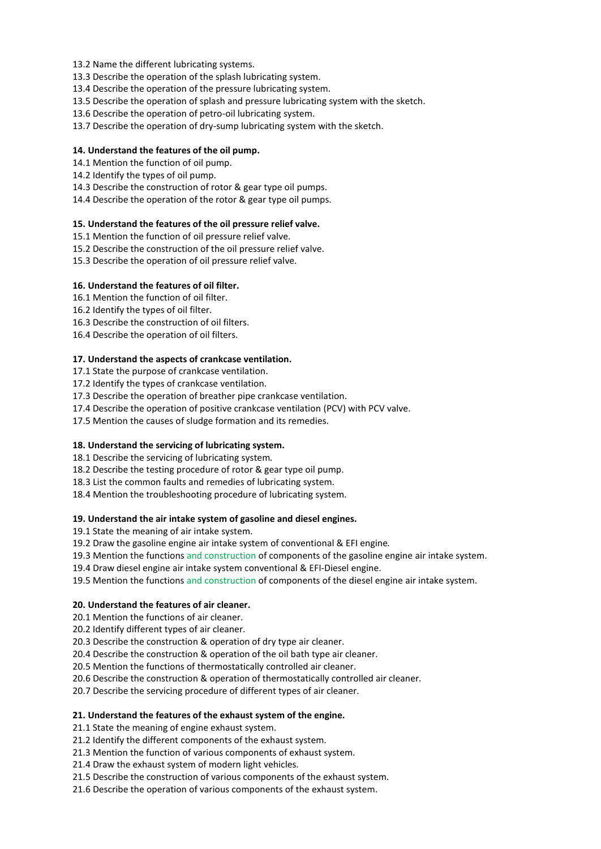13.2 Name the different lubricating systems.

13.3 Describe the operation of the splash lubricating system.

13.4 Describe the operation of the pressure lubricating system.

13.5 Describe the operation of splash and pressure lubricating system with the sketch.

13.6 Describe the operation of petro-oil lubricating system.

13.7 Describe the operation of dry-sump lubricating system with the sketch.

#### **14. Understand the features of the oil pump.**

14.1 Mention the function of oil pump.

14.2 Identify the types of oil pump.

14.3 Describe the construction of rotor & gear type oil pumps.

14.4 Describe the operation of the rotor & gear type oil pumps.

#### **15. Understand the features of the oil pressure relief valve.**

15.1 Mention the function of oil pressure relief valve.

15.2 Describe the construction of the oil pressure relief valve.

15.3 Describe the operation of oil pressure relief valve.

#### **16. Understand the features of oil filter.**

16.1 Mention the function of oil filter.

16.2 Identify the types of oil filter.

- 16.3 Describe the construction of oil filters.
- 16.4 Describe the operation of oil filters.

#### **17. Understand the aspects of crankcase ventilation.**

17.1 State the purpose of crankcase ventilation.

17.2 Identify the types of crankcase ventilation.

17.3 Describe the operation of breather pipe crankcase ventilation.

17.4 Describe the operation of positive crankcase ventilation (PCV) with PCV valve.

17.5 Mention the causes of sludge formation and its remedies.

#### **18. Understand the servicing of lubricating system.**

18.1 Describe the servicing of lubricating system.

18.2 Describe the testing procedure of rotor & gear type oil pump.

- 18.3 List the common faults and remedies of lubricating system.
- 18.4 Mention the troubleshooting procedure of lubricating system.

#### **19. Understand the air intake system of gasoline and diesel engines.**

19.1 State the meaning of air intake system.

19.2 Draw the gasoline engine air intake system of conventional & EFI engine.

19.3 Mention the functions and construction of components of the gasoline engine air intake system.

19.4 Draw diesel engine air intake system conventional & EFI-Diesel engine.

19.5 Mention the functions and construction of components of the diesel engine air intake system.

#### **20. Understand the features of air cleaner.**

20.1 Mention the functions of air cleaner.

20.2 Identify different types of air cleaner.

20.3 Describe the construction & operation of dry type air cleaner.

20.4 Describe the construction & operation of the oil bath type air cleaner.

20.5 Mention the functions of thermostatically controlled air cleaner.

20.6 Describe the construction & operation of thermostatically controlled air cleaner.

20.7 Describe the servicing procedure of different types of air cleaner.

#### **21. Understand the features of the exhaust system of the engine.**

21.1 State the meaning of engine exhaust system.

21.2 Identify the different components of the exhaust system.

21.3 Mention the function of various components of exhaust system.

21.4 Draw the exhaust system of modern light vehicles.

21.5 Describe the construction of various components of the exhaust system.

21.6 Describe the operation of various components of the exhaust system.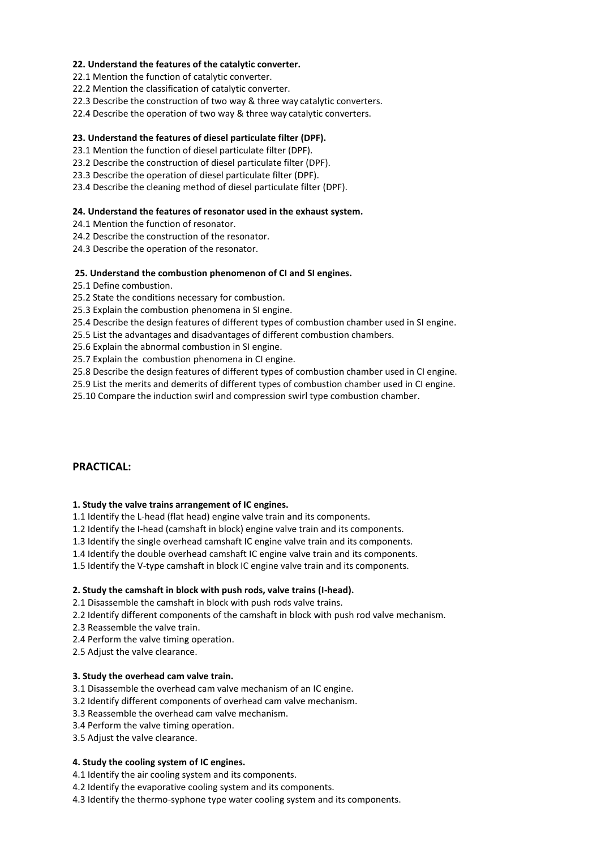#### **22. Understand the features of the catalytic converter.**

22.1 Mention the function of catalytic converter.

22.2 Mention the classification of catalytic converter.

22.3 Describe the construction of two way & three way catalytic converters.

22.4 Describe the operation of two way & three way catalytic converters.

## **23. Understand the features of diesel particulate filter (DPF).**

23.1 Mention the function of diesel particulate filter (DPF).

23.2 Describe the construction of diesel particulate filter (DPF).

23.3 Describe the operation of diesel particulate filter (DPF).

23.4 Describe the cleaning method of diesel particulate filter (DPF).

#### **24. Understand the features of resonator used in the exhaust system.**

24.1 Mention the function of resonator.

24.2 Describe the construction of the resonator.

24.3 Describe the operation of the resonator.

#### **25. Understand the combustion phenomenon of CI and SI engines.**

25.1 Define combustion.

25.2 State the conditions necessary for combustion.

25.3 Explain the combustion phenomena in SI engine.

25.4 Describe the design features of different types of combustion chamber used in SI engine.

25.5 List the advantages and disadvantages of different combustion chambers.

25.6 Explain the abnormal combustion in SI engine.

25.7 Explain the combustion phenomena in CI engine.

25.8 Describe the design features of different types of combustion chamber used in CI engine.

25.9 List the merits and demerits of different types of combustion chamber used in CI engine.

25.10 Compare the induction swirl and compression swirl type combustion chamber.

# **PRACTICAL:**

#### **1. Study the valve trains arrangement of IC engines.**

1.1 Identify the L-head (flat head) engine valve train and its components.

1.2 Identify the I-head (camshaft in block) engine valve train and its components.

1.3 Identify the single overhead camshaft IC engine valve train and its components.

1.4 Identify the double overhead camshaft IC engine valve train and its components.

1.5 Identify the V-type camshaft in block IC engine valve train and its components.

#### **2. Study the camshaft in block with push rods, valve trains (I-head).**

2.1 Disassemble the camshaft in block with push rods valve trains.

2.2 Identify different components of the camshaft in block with push rod valve mechanism.

2.3 Reassemble the valve train.

2.4 Perform the valve timing operation.

2.5 Adjust the valve clearance.

#### **3. Study the overhead cam valve train.**

3.1 Disassemble the overhead cam valve mechanism of an IC engine.

3.2 Identify different components of overhead cam valve mechanism.

3.3 Reassemble the overhead cam valve mechanism.

3.4 Perform the valve timing operation.

3.5 Adjust the valve clearance.

# **4. Study the cooling system of IC engines.**

4.1 Identify the air cooling system and its components.

4.2 Identify the evaporative cooling system and its components.

4.3 Identify the thermo-syphone type water cooling system and its components.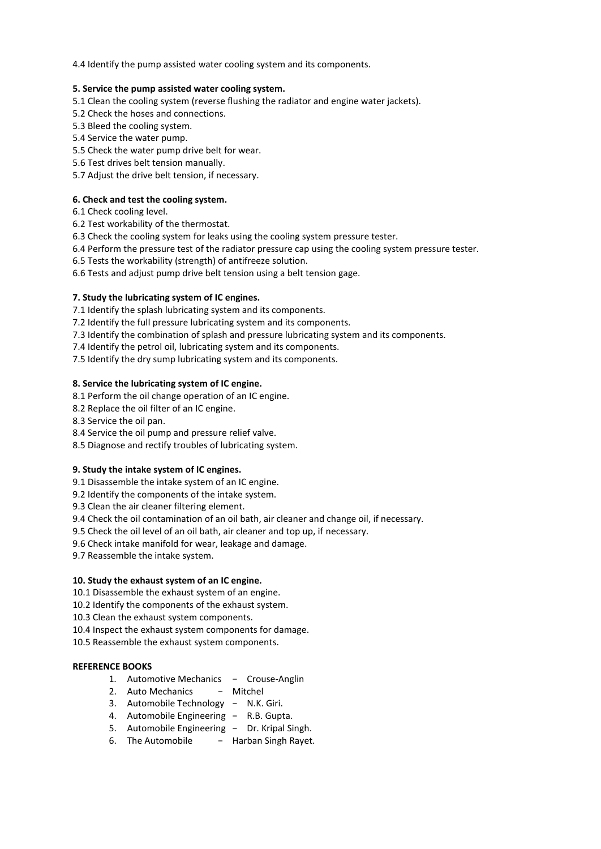4.4 Identify the pump assisted water cooling system and its components.

#### **5. Service the pump assisted water cooling system.**

- 5.1 Clean the cooling system (reverse flushing the radiator and engine water jackets).
- 5.2 Check the hoses and connections.
- 5.3 Bleed the cooling system.
- 5.4 Service the water pump.
- 5.5 Check the water pump drive belt for wear.
- 5.6 Test drives belt tension manually.
- 5.7 Adjust the drive belt tension, if necessary.

#### **6. Check and test the cooling system.**

- 6.1 Check cooling level.
- 6.2 Test workability of the thermostat.
- 6.3 Check the cooling system for leaks using the cooling system pressure tester.
- 6.4 Perform the pressure test of the radiator pressure cap using the cooling system pressure tester.
- 6.5 Tests the workability (strength) of antifreeze solution.
- 6.6 Tests and adjust pump drive belt tension using a belt tension gage.

# **7. Study the lubricating system of IC engines.**

- 7.1 Identify the splash lubricating system and its components.
- 7.2 Identify the full pressure lubricating system and its components.
- 7.3 Identify the combination of splash and pressure lubricating system and its components.
- 7.4 Identify the petrol oil, lubricating system and its components.
- 7.5 Identify the dry sump lubricating system and its components.

#### **8. Service the lubricating system of IC engine.**

- 8.1 Perform the oil change operation of an IC engine.
- 8.2 Replace the oil filter of an IC engine.
- 8.3 Service the oil pan.
- 8.4 Service the oil pump and pressure relief valve.
- 8.5 Diagnose and rectify troubles of lubricating system.

#### **9. Study the intake system of IC engines.**

- 9.1 Disassemble the intake system of an IC engine.
- 9.2 Identify the components of the intake system.
- 9.3 Clean the air cleaner filtering element.
- 9.4 Check the oil contamination of an oil bath, air cleaner and change oil, if necessary.
- 9.5 Check the oil level of an oil bath, air cleaner and top up, if necessary.
- 9.6 Check intake manifold for wear, leakage and damage.
- 9.7 Reassemble the intake system.

# **10. Study the exhaust system of an IC engine.**

- 10.1 Disassemble the exhaust system of an engine.
- 10.2 Identify the components of the exhaust system.
- 10.3 Clean the exhaust system components.
- 10.4 Inspect the exhaust system components for damage.
- 10.5 Reassemble the exhaust system components.

#### **REFERENCE BOOKS**

- 1. Automotive Mechanics − Crouse-Anglin
- 2. Auto Mechanics Mitchel
- 3. Automobile Technology − N.K. Giri.
- 4. Automobile Engineering − R.B. Gupta.
- 5. Automobile Engineering − Dr. Kripal Singh.
- 6. The Automobile − Harban Singh Rayet.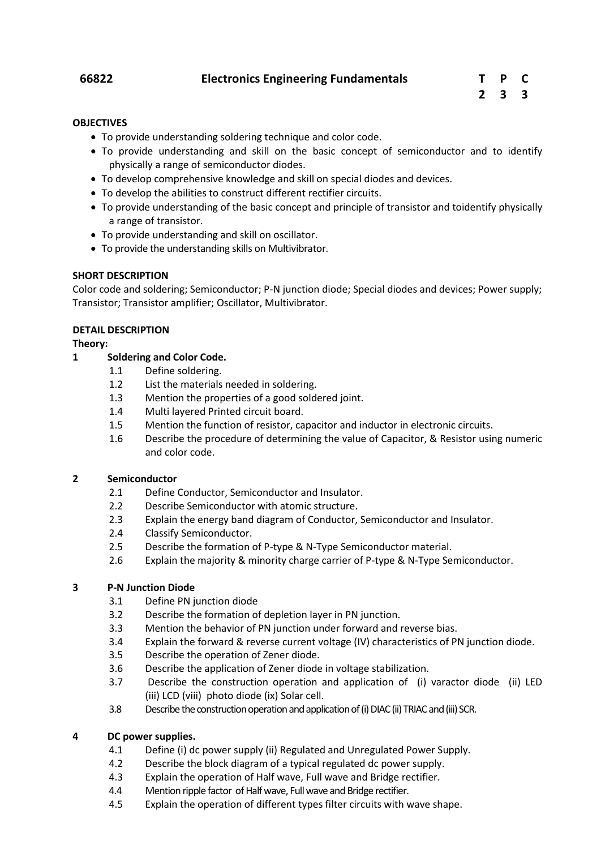# **66822 Electronics Engineering Fundamentals T P C**

## **OBJECTIVES**

- To provide understanding soldering technique and color code.
- To provide understanding and skill on the basic concept of semiconductor and to identify physically a range of semiconductor diodes.
- To develop comprehensive knowledge and skill on special diodes and devices.
- To develop the abilities to construct different rectifier circuits.
- To provide understanding of the basic concept and principle of transistor and toidentify physically a range of transistor.
- To provide understanding and skill on oscillator.
- To provide the understanding skills on Multivibrator.

# **SHORT DESCRIPTION**

Color code and soldering; Semiconductor; P-N junction diode; Special diodes and devices; Power supply; Transistor; Transistor amplifier; Oscillator, Multivibrator.

# **DETAIL DESCRIPTION**

# **Theory:**

# **1 Soldering and Color Code.**

- 1.1 Define soldering.
- 1.2 List the materials needed in soldering.
- 1.3 Mention the properties of a good soldered joint.
- 1.4 Multi layered Printed circuit board.
- 1.5 Mention the function of resistor, capacitor and inductor in electronic circuits.
- 1.6 Describe the procedure of determining the value of Capacitor, & Resistor using numeric and color code.

# **2 Semiconductor**

- 2.1 Define Conductor, Semiconductor and Insulator.
- 2.2 Describe Semiconductor with atomic structure.
- 2.3 Explain the energy band diagram of Conductor, Semiconductor and Insulator.
- 2.4 Classify Semiconductor.
- 2.5 Describe the formation of P-type & N-Type Semiconductor material.
- 2.6 Explain the majority & minority charge carrier of P-type & N-Type Semiconductor.

# **3 P-N Junction Diode**

- 3.1 Define PN junction diode
- 3.2 Describe the formation of depletion layer in PN junction.
- 3.3 Mention the behavior of PN junction under forward and reverse bias.
- 3.4 Explain the forward & reverse current voltage (IV) characteristics of PN junction diode.
- 3.5 Describe the operation of Zener diode.
- 3.6 Describe the application of Zener diode in voltage stabilization.
- 3.7 Describe the construction operation and application of (i) varactor diode (ii) LED (iii) LCD (viii) photo diode (ix) Solar cell.
- 3.8 Describe the construction operation and application of (i) DIAC (ii) TRIAC and (iii) SCR.

# **4 DC power supplies.**

- 4.1 Define (i) dc power supply (ii) Regulated and Unregulated Power Supply.
- 4.2 Describe the block diagram of a typical regulated dc power supply.
- 4.3 Explain the operation of Half wave, Full wave and Bridge rectifier.
- 4.4 Mention ripple factor of Half wave, Full wave and Bridge rectifier.
- 4.5 Explain the operation of different types filter circuits with wave shape.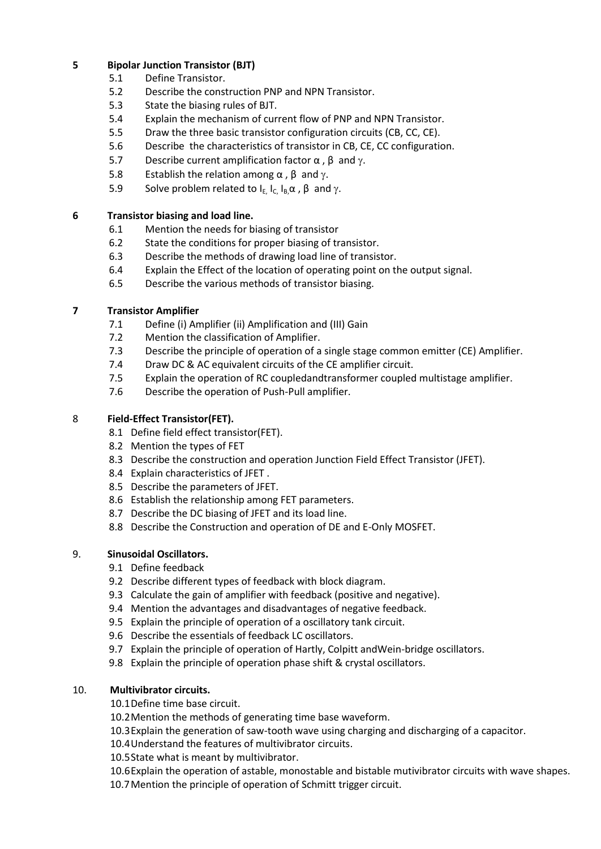# **5 Bipolar Junction Transistor (BJT)**

- 5.1 Define Transistor.
- 5.2 Describe the construction PNP and NPN Transistor.
- 5.3 State the biasing rules of BJT.
- 5.4 Explain the mechanism of current flow of PNP and NPN Transistor.
- 5.5 Draw the three basic transistor configuration circuits (CB, CC, CE).
- 5.6 Describe the characteristics of transistor in CB, CE, CC configuration.
- 5.7 Describe current amplification factor  $\alpha$ ,  $\beta$  and  $\gamma$ .
- 5.8 Establish the relation among  $\alpha$ ,  $\beta$  and  $\gamma$ .
- 5.9 Solve problem related to  $I_E$ ,  $I_C$ ,  $I_B$ ,  $\alpha$ ,  $\beta$ , and  $\gamma$ .

# **6 Transistor biasing and load line.**

- 6.1 Mention the needs for biasing of transistor
- 6.2 State the conditions for proper biasing of transistor.
- 6.3 Describe the methods of drawing load line of transistor.
- 6.4 Explain the Effect of the location of operating point on the output signal.
- 6.5 Describe the various methods of transistor biasing.

# **7 Transistor Amplifier**

- 7.1 Define (i) Amplifier (ii) Amplification and (III) Gain
- 7.2 Mention the classification of Amplifier.
- 7.3 Describe the principle of operation of a single stage common emitter (CE) Amplifier.
- 7.4 Draw DC & AC equivalent circuits of the CE amplifier circuit.
- 7.5 Explain the operation of RC coupledandtransformer coupled multistage amplifier.
- 7.6 Describe the operation of Push-Pull amplifier.

# 8 **Field-Effect Transistor(FET).**

- 8.1 Define field effect transistor(FET).
- 8.2 Mention the types of FET
- 8.3 Describe the construction and operation Junction Field Effect Transistor (JFET).
- 8.4 Explain characteristics of JFET .
- 8.5 Describe the parameters of JFET.
- 8.6 Establish the relationship among FET parameters.
- 8.7 Describe the DC biasing of JFET and its load line.
- 8.8 Describe the Construction and operation of DE and E-Only MOSFET.

# 9. **Sinusoidal Oscillators.**

- 9.1 Define feedback
- 9.2 Describe different types of feedback with block diagram.
- 9.3 Calculate the gain of amplifier with feedback (positive and negative).
- 9.4 Mention the advantages and disadvantages of negative feedback.
- 9.5 Explain the principle of operation of a oscillatory tank circuit.
- 9.6 Describe the essentials of feedback LC oscillators.
- 9.7 Explain the principle of operation of Hartly, Colpitt andWein-bridge oscillators.
- 9.8 Explain the principle of operation phase shift & crystal oscillators.

# 10. **Multivibrator circuits.**

10.1Define time base circuit.

- 10.2Mention the methods of generating time base waveform.
- 10.3Explain the generation of saw-tooth wave using charging and discharging of a capacitor.
- 10.4Understand the features of multivibrator circuits.
- 10.5State what is meant by multivibrator.

10.6Explain the operation of astable, monostable and bistable mutivibrator circuits with wave shapes. 10.7Mention the principle of operation of Schmitt trigger circuit.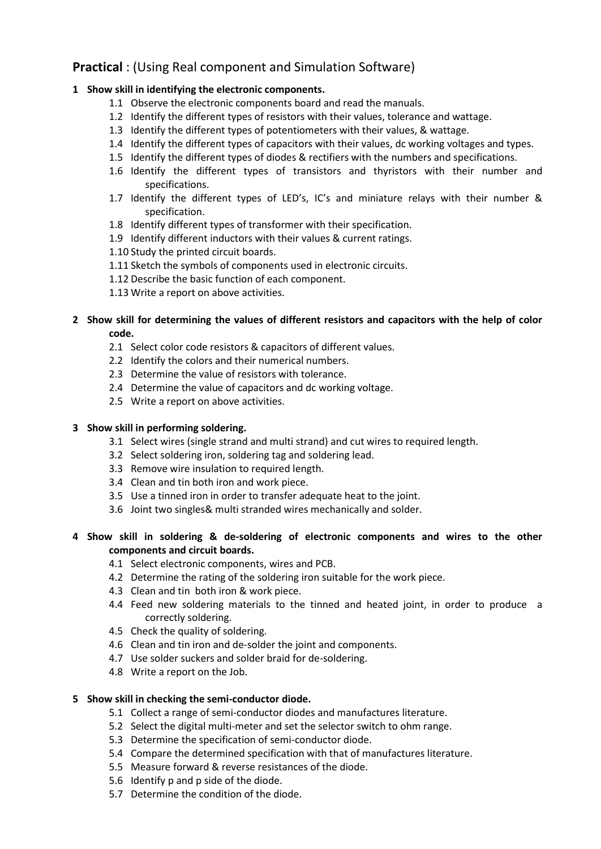# **Practical** : (Using Real component and Simulation Software)

# **1 Show skill in identifying the electronic components.**

- 1.1 Observe the electronic components board and read the manuals.
- 1.2 Identify the different types of resistors with their values, tolerance and wattage.
- 1.3 Identify the different types of potentiometers with their values, & wattage.
- 1.4 Identify the different types of capacitors with their values, dc working voltages and types.
- 1.5 Identify the different types of diodes & rectifiers with the numbers and specifications.
- 1.6 Identify the different types of transistors and thyristors with their number and specifications.
- 1.7 Identify the different types of LED's, IC's and miniature relays with their number & specification.
- 1.8 Identify different types of transformer with their specification.
- 1.9 Identify different inductors with their values & current ratings.
- 1.10 Study the printed circuit boards.
- 1.11 Sketch the symbols of components used in electronic circuits.
- 1.12 Describe the basic function of each component.
- 1.13 Write a report on above activities.

# **2 Show skill for determining the values of different resistors and capacitors with the help of color code.**

- 2.1 Select color code resistors & capacitors of different values.
- 2.2 Identify the colors and their numerical numbers.
- 2.3 Determine the value of resistors with tolerance.
- 2.4 Determine the value of capacitors and dc working voltage.
- 2.5 Write a report on above activities.

# **3 Show skill in performing soldering.**

- 3.1 Select wires (single strand and multi strand) and cut wires to required length.
- 3.2 Select soldering iron, soldering tag and soldering lead.
- 3.3 Remove wire insulation to required length.
- 3.4 Clean and tin both iron and work piece.
- 3.5 Use a tinned iron in order to transfer adequate heat to the joint.
- 3.6 Joint two singles& multi stranded wires mechanically and solder.

# **4 Show skill in soldering & de-soldering of electronic components and wires to the other components and circuit boards.**

- 4.1 Select electronic components, wires and PCB.
- 4.2 Determine the rating of the soldering iron suitable for the work piece.
- 4.3 Clean and tin both iron & work piece.
- 4.4 Feed new soldering materials to the tinned and heated joint, in order to produce a correctly soldering.
- 4.5 Check the quality of soldering.
- 4.6 Clean and tin iron and de-solder the joint and components.
- 4.7 Use solder suckers and solder braid for de-soldering.
- 4.8 Write a report on the Job.

# **5 Show skill in checking the semi-conductor diode.**

- 5.1 Collect a range of semi-conductor diodes and manufactures literature.
- 5.2 Select the digital multi-meter and set the selector switch to ohm range.
- 5.3 Determine the specification of semi-conductor diode.
- 5.4 Compare the determined specification with that of manufactures literature.
- 5.5 Measure forward & reverse resistances of the diode.
- 5.6 Identify p and p side of the diode.
- 5.7 Determine the condition of the diode.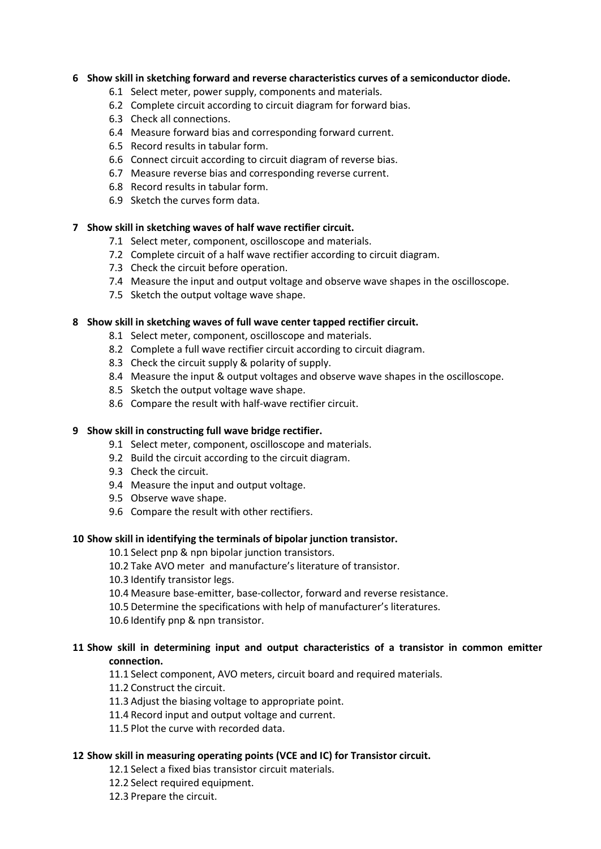# **6 Show skill in sketching forward and reverse characteristics curves of a semiconductor diode.**

- 6.1 Select meter, power supply, components and materials.
- 6.2 Complete circuit according to circuit diagram for forward bias.
- 6.3 Check all connections.
- 6.4 Measure forward bias and corresponding forward current.
- 6.5 Record results in tabular form.
- 6.6 Connect circuit according to circuit diagram of reverse bias.
- 6.7 Measure reverse bias and corresponding reverse current.
- 6.8 Record results in tabular form.
- 6.9 Sketch the curves form data.

# **7 Show skill in sketching waves of half wave rectifier circuit.**

- 7.1 Select meter, component, oscilloscope and materials.
- 7.2 Complete circuit of a half wave rectifier according to circuit diagram.
- 7.3 Check the circuit before operation.
- 7.4 Measure the input and output voltage and observe wave shapes in the oscilloscope.
- 7.5 Sketch the output voltage wave shape.

# **8 Show skill in sketching waves of full wave center tapped rectifier circuit.**

- 8.1 Select meter, component, oscilloscope and materials.
- 8.2 Complete a full wave rectifier circuit according to circuit diagram.
- 8.3 Check the circuit supply & polarity of supply.
- 8.4 Measure the input & output voltages and observe wave shapes in the oscilloscope.
- 8.5 Sketch the output voltage wave shape.
- 8.6 Compare the result with half-wave rectifier circuit.

# **9 Show skill in constructing full wave bridge rectifier.**

- 9.1 Select meter, component, oscilloscope and materials.
- 9.2 Build the circuit according to the circuit diagram.
- 9.3 Check the circuit.
- 9.4 Measure the input and output voltage.
- 9.5 Observe wave shape.
- 9.6 Compare the result with other rectifiers.

# **10 Show skill in identifying the terminals of bipolar junction transistor.**

- 10.1 Select pnp & npn bipolar junction transistors.
- 10.2 Take AVO meter and manufacture's literature of transistor.
- 10.3 Identify transistor legs.
- 10.4 Measure base-emitter, base-collector, forward and reverse resistance.
- 10.5 Determine the specifications with help of manufacturer's literatures.
- 10.6 Identify pnp & npn transistor.

# **11 Show skill in determining input and output characteristics of a transistor in common emitter connection.**

11.1 Select component, AVO meters, circuit board and required materials.

11.2 Construct the circuit.

- 11.3 Adjust the biasing voltage to appropriate point.
- 11.4 Record input and output voltage and current.
- 11.5 Plot the curve with recorded data.

# **12 Show skill in measuring operating points (VCE and IC) for Transistor circuit.**

- 12.1 Select a fixed bias transistor circuit materials.
- 12.2 Select required equipment.
- 12.3 Prepare the circuit.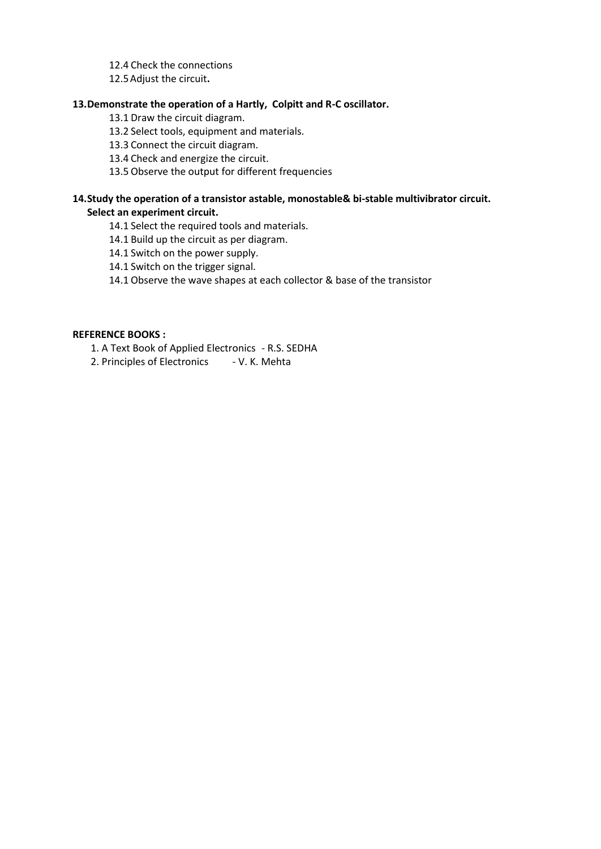12.4 Check the connections

12.5Adjust the circuit**.**

# **13.Demonstrate the operation of a Hartly, Colpitt and R-C oscillator.**

13.1 Draw the circuit diagram.

13.2 Select tools, equipment and materials.

13.3 Connect the circuit diagram.

13.4 Check and energize the circuit.

13.5 Observe the output for different frequencies

# **14.Study the operation of a transistor astable, monostable& bi-stable multivibrator circuit. Select an experiment circuit.**

14.1 Select the required tools and materials.

14.1 Build up the circuit as per diagram.

14.1 Switch on the power supply.

14.1 Switch on the trigger signal.

14.1 Observe the wave shapes at each collector & base of the transistor

# **REFERENCE BOOKS :**

1. A Text Book of Applied Electronics - R.S. SEDHA

2. Principles of Electronics - V. K. Mehta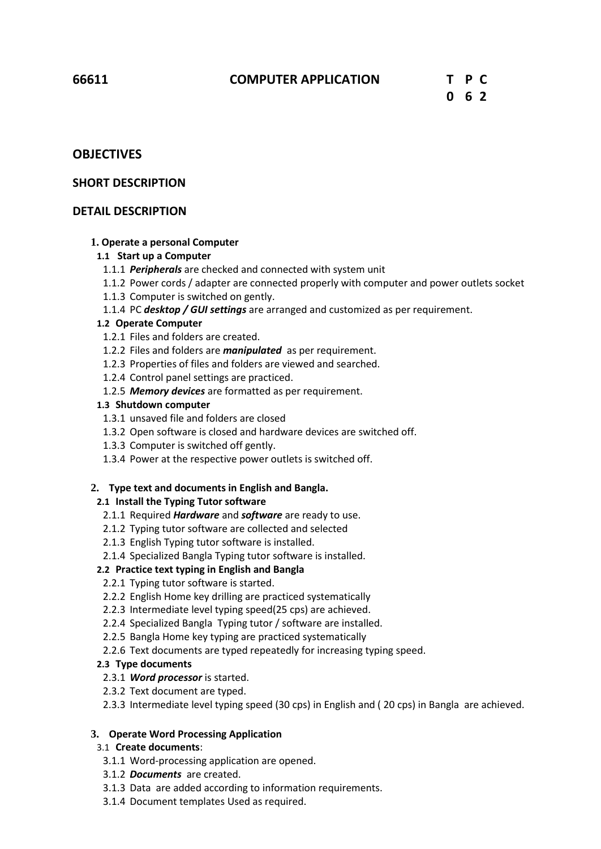# **OBJECTIVES**

# **SHORT DESCRIPTION**

# **DETAIL DESCRIPTION**

# **1. Operate a personal Computer**

# **1.1 Start up a Computer**

- 1.1.1 *Peripherals* are checked and connected with system unit
- 1.1.2 Power cords / adapter are connected properly with computer and power outlets socket
- 1.1.3 Computer is switched on gently.
- 1.1.4 PC *desktop / GUI settings* are arranged and customized as per requirement.

# **1.2 Operate Computer**

- 1.2.1 Files and folders are created.
- 1.2.2 Files and folders are *manipulated* as per requirement.
- 1.2.3 Properties of files and folders are viewed and searched.
- 1.2.4 Control panel settings are practiced.
- 1.2.5 *Memory devices* are formatted as per requirement.

# **1.3 Shutdown computer**

- 1.3.1 unsaved file and folders are closed
- 1.3.2 Open software is closed and hardware devices are switched off.
- 1.3.3 Computer is switched off gently.
- 1.3.4 Power at the respective power outlets is switched off.

# **2. Type text and documents in English and Bangla.**

# **2.1 Install the Typing Tutor software**

- 2.1.1 Required *Hardware* and *software* are ready to use.
- 2.1.2 Typing tutor software are collected and selected
- 2.1.3 English Typing tutor software is installed.
- 2.1.4 Specialized Bangla Typing tutor software is installed.

# **2.2 Practice text typing in English and Bangla**

- 2.2.1 Typing tutor software is started.
- 2.2.2 English Home key drilling are practiced systematically
- 2.2.3 Intermediate level typing speed(25 cps) are achieved.
- 2.2.4 Specialized Bangla Typing tutor / software are installed.
- 2.2.5 Bangla Home key typing are practiced systematically
- 2.2.6 Text documents are typed repeatedly for increasing typing speed.

# **2.3 Type documents**

- 2.3.1 *Word processor* is started.
- 2.3.2 Text document are typed.
- 2.3.3 Intermediate level typing speed (30 cps) in English and ( 20 cps) in Bangla are achieved.

# **3. Operate Word Processing Application**

- 3.1 **Create documents**:
	- 3.1.1 Word-processing application are opened.
- 3.1.2 *Documents* are created.
- 3.1.3 Data are added according to information requirements.
- 3.1.4 Document templates Used as required.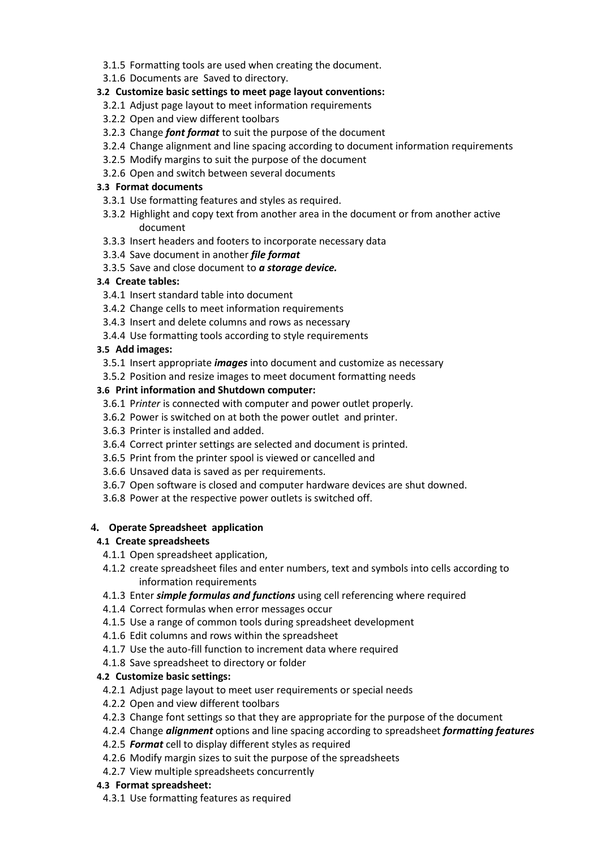- 3.1.5 Formatting tools are used when creating the document.
- 3.1.6 Documents are Saved to directory.

# **3.2 Customize basic settings to meet page layout conventions:**

- 3.2.1 Adjust page layout to meet information requirements
- 3.2.2 Open and view different toolbars
- 3.2.3 Change *font format* to suit the purpose of the document
- 3.2.4 Change alignment and line spacing according to document information requirements
- 3.2.5 Modify margins to suit the purpose of the document
- 3.2.6 Open and switch between several documents

# **3.3 Format documents**

- 3.3.1 Use formatting features and styles as required.
- 3.3.2 Highlight and copy text from another area in the document or from another active document
- 3.3.3 Insert headers and footers to incorporate necessary data
- 3.3.4 Save document in another *file format*
- 3.3.5 Save and close document to *a storage device.*

# **3.4 Create tables:**

- 3.4.1 Insert standard table into document
- 3.4.2 Change cells to meet information requirements
- 3.4.3 Insert and delete columns and rows as necessary
- 3.4.4 Use formatting tools according to style requirements

# **3.5 Add images:**

- 3.5.1 Insert appropriate *images* into document and customize as necessary
- 3.5.2 Position and resize images to meet document formatting needs

# **3.6 Print information and Shutdown computer:**

- 3.6.1 P*rinter* is connected with computer and power outlet properly.
- 3.6.2 Power is switched on at both the power outlet and printer.
- 3.6.3 Printer is installed and added.
- 3.6.4 Correct printer settings are selected and document is printed.
- 3.6.5 Print from the printer spool is viewed or cancelled and
- 3.6.6 Unsaved data is saved as per requirements.
- 3.6.7 Open software is closed and computer hardware devices are shut downed.
- 3.6.8 Power at the respective power outlets is switched off.

# **4. Operate Spreadsheet application**

# **4.1 Create spreadsheets**

- 4.1.1 Open spreadsheet application,
- 4.1.2 create spreadsheet files and enter numbers, text and symbols into cells according to information requirements
- 4.1.3 Enter *simple formulas and functions* using cell referencing where required
- 4.1.4 Correct formulas when error messages occur
- 4.1.5 Use a range of common tools during spreadsheet development
- 4.1.6 Edit columns and rows within the spreadsheet
- 4.1.7 Use the auto-fill function to increment data where required
- 4.1.8 Save spreadsheet to directory or folder

# **4.2 Customize basic settings:**

- 4.2.1 Adjust page layout to meet user requirements or special needs
- 4.2.2 Open and view different toolbars
- 4.2.3 Change font settings so that they are appropriate for the purpose of the document
- 4.2.4 Change *alignment* options and line spacing according to spreadsheet *formatting features*
- 4.2.5 *Format* cell to display different styles as required
- 4.2.6 Modify margin sizes to suit the purpose of the spreadsheets
- 4.2.7 View multiple spreadsheets concurrently

# **4.3 Format spreadsheet:**

4.3.1 Use formatting features as required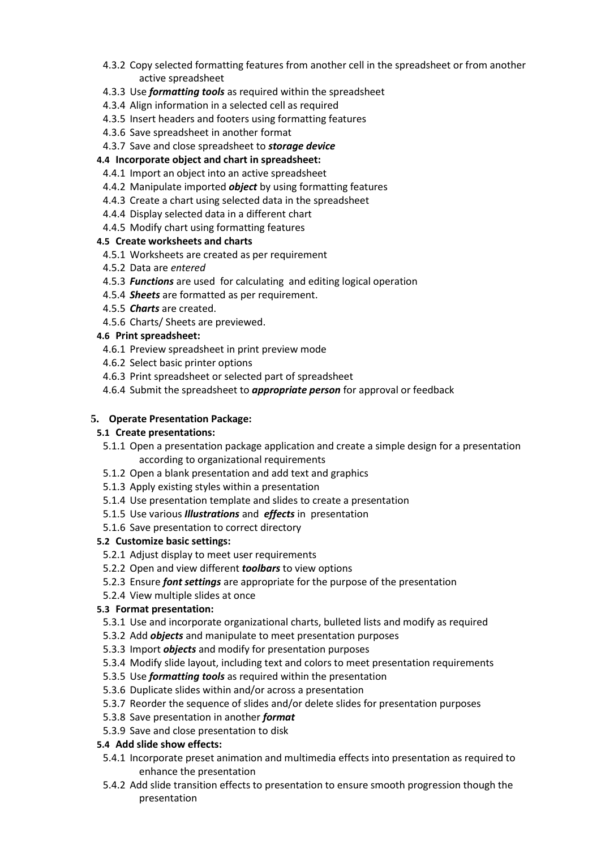- 4.3.2 Copy selected formatting features from another cell in the spreadsheet or from another active spreadsheet
- 4.3.3 Use *formatting tools* as required within the spreadsheet
- 4.3.4 Align information in a selected cell as required
- 4.3.5 Insert headers and footers using formatting features
- 4.3.6 Save spreadsheet in another format
- 4.3.7 Save and close spreadsheet to *storage device*

# **4.4 Incorporate object and chart in spreadsheet:**

- 4.4.1 Import an object into an active spreadsheet
- 4.4.2 Manipulate imported *object* by using formatting features
- 4.4.3 Create a chart using selected data in the spreadsheet
- 4.4.4 Display selected data in a different chart
- 4.4.5 Modify chart using formatting features

# **4.5 Create worksheets and charts**

- 4.5.1 Worksheets are created as per requirement
- 4.5.2 Data are *entered*
- 4.5.3 *Functions* are used for calculating and editing logical operation
- 4.5.4 *Sheets* are formatted as per requirement.
- 4.5.5 *Charts* are created.
- 4.5.6 Charts/ Sheets are previewed.

# **4.6 Print spreadsheet:**

- 4.6.1 Preview spreadsheet in print preview mode
- 4.6.2 Select basic printer options
- 4.6.3 Print spreadsheet or selected part of spreadsheet
- 4.6.4 Submit the spreadsheet to *appropriate person* for approval or feedback

# **5. Operate Presentation Package:**

# **5.1 Create presentations:**

5.1.1 Open a presentation package application and create a simple design for a presentation according to organizational requirements

- 5.1.2 Open a blank presentation and add text and graphics
- 5.1.3 Apply existing styles within a presentation
- 5.1.4 Use presentation template and slides to create a presentation
- 5.1.5 Use various *Illustrations* and *effects* in presentation
- 5.1.6 Save presentation to correct directory

# **5.2 Customize basic settings:**

- 5.2.1 Adjust display to meet user requirements
- 5.2.2 Open and view different *toolbars* to view options
- 5.2.3 Ensure *font settings* are appropriate for the purpose of the presentation
- 5.2.4 View multiple slides at once

# **5.3 Format presentation:**

- 5.3.1 Use and incorporate organizational charts, bulleted lists and modify as required
- 5.3.2 Add *objects* and manipulate to meet presentation purposes
- 5.3.3 Import *objects* and modify for presentation purposes
- 5.3.4 Modify slide layout, including text and colors to meet presentation requirements
- 5.3.5 Use *formatting tools* as required within the presentation
- 5.3.6 Duplicate slides within and/or across a presentation
- 5.3.7 Reorder the sequence of slides and/or delete slides for presentation purposes
- 5.3.8 Save presentation in another *format*
- 5.3.9 Save and close presentation to disk

# **5.4 Add slide show effects:**

- 5.4.1 Incorporate preset animation and multimedia effects into presentation as required to enhance the presentation
- 5.4.2 Add slide transition effects to presentation to ensure smooth progression though the presentation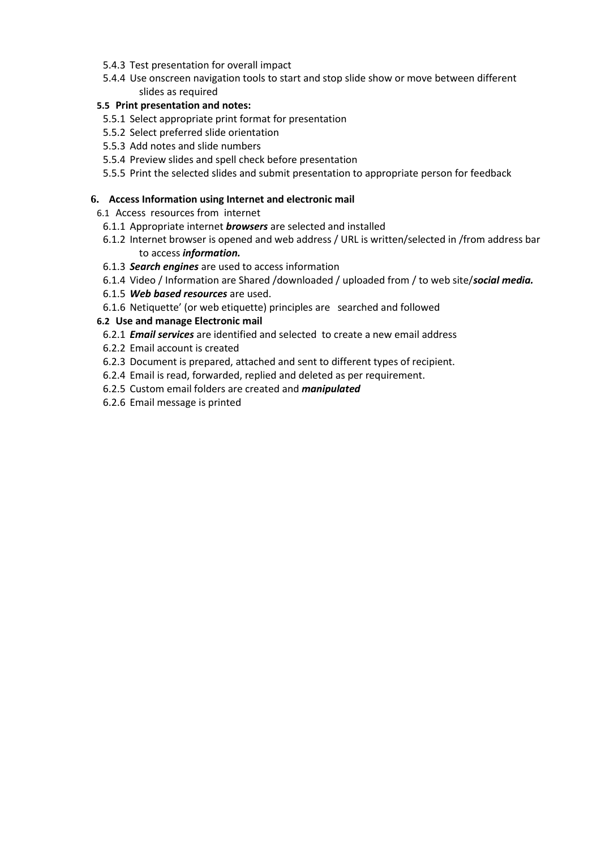- 5.4.3 Test presentation for overall impact
- 5.4.4 Use onscreen navigation tools to start and stop slide show or move between different slides as required

# **5.5 Print presentation and notes:**

- 5.5.1 Select appropriate print format for presentation
- 5.5.2 Select preferred slide orientation
- 5.5.3 Add notes and slide numbers
- 5.5.4 Preview slides and spell check before presentation
- 5.5.5 Print the selected slides and submit presentation to appropriate person for feedback

# **6. Access Information using Internet and electronic mail**

6.1 Access resources from internet

- 6.1.1 Appropriate internet *browsers* are selected and installed
- 6.1.2 Internet browser is opened and web address / URL is written/selected in /from address bar to access *information.*
- 6.1.3 *Search engines* are used to access information
- 6.1.4 Video / Information are Shared /downloaded / uploaded from / to web site/*social media.*
- 6.1.5 *Web based resources* are used.
- 6.1.6 Netiquette' (or web etiquette) principles are searched and followed

# **6.2 Use and manage Electronic mail**

- 6.2.1 *Email services* are identified and selected to create a new email address
- 6.2.2 Email account is created
- 6.2.3 Document is prepared, attached and sent to different types of recipient.
- 6.2.4 Email is read, forwarded, replied and deleted as per requirement.
- 6.2.5 Custom email folders are created and *manipulated*
- 6.2.6 Email message is printed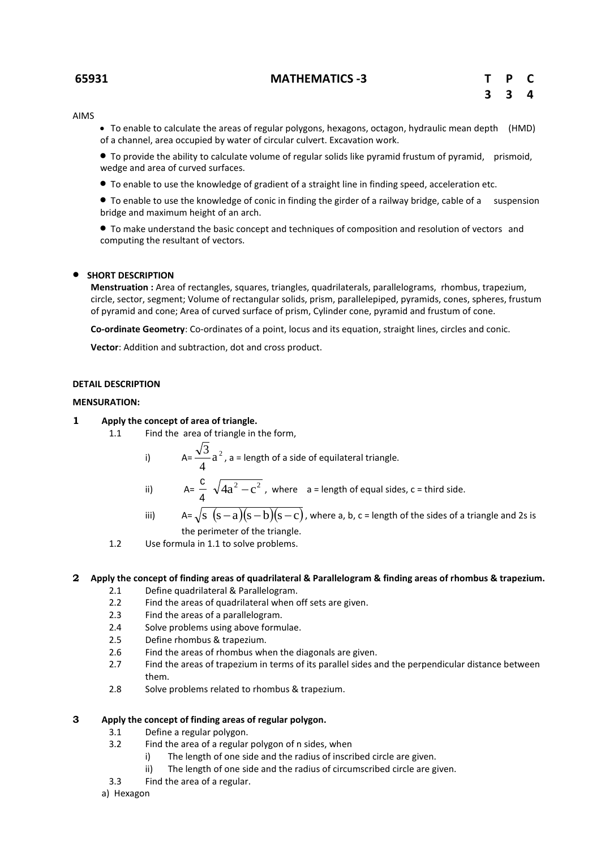#### **65931 MATHEMATICS -3 T P C**

AIMS

 To enable to calculate the areas of regular polygons, hexagons, octagon, hydraulic mean depth (HMD) of a channel, area occupied by water of circular culvert. Excavation work.

 To provide the ability to calculate volume of regular solids like pyramid frustum of pyramid, prismoid, wedge and area of curved surfaces.

To enable to use the knowledge of gradient of a straight line in finding speed, acceleration etc.

 To enable to use the knowledge of conic in finding the girder of a railway bridge, cable of a suspension bridge and maximum height of an arch.

 To make understand the basic concept and techniques of composition and resolution of vectors and computing the resultant of vectors.

#### $\bullet$  SHORT DESCRIPTION

**Menstruation :** Area of rectangles, squares, triangles, quadrilaterals, parallelograms, rhombus, trapezium, circle, sector, segment; Volume of rectangular solids, prism, parallelepiped, pyramids, cones, spheres, frustum of pyramid and cone; Area of curved surface of prism, Cylinder cone, pyramid and frustum of cone.

**Co-ordinate Geometry**: Co-ordinates of a point, locus and its equation, straight lines, circles and conic.

**Vector**: Addition and subtraction, dot and cross product.

#### **DETAIL DESCRIPTION**

#### **MENSURATION:**

#### **1 Apply the concept of area of triangle.**

- 1.1 Find the area of triangle in the form,
	- i)  $A = \frac{\sqrt{3}}{4} a^2$ 4  $\frac{3}{5}$  a<sup>2</sup>, a = length of a side of equilateral triangle.
	- ii) A= 4  $\frac{c}{4} \sqrt{4a^2-c^2}$ , where a = length of equal sides, c = third side.
	- iii)  $A=\sqrt{s}(s-a)(s-b)(s-c)$ , where a, b, c = length of the sides of a triangle and 2s is the perimeter of the triangle.
- 1.2 Use formula in 1.1 to solve problems.

#### **2 Apply the concept of finding areas of quadrilateral & Parallelogram & finding areas of rhombus & trapezium.**

- 2.1 Define quadrilateral & Parallelogram.
- 2.2 Find the areas of quadrilateral when off sets are given.
- 2.3 Find the areas of a parallelogram.<br>2.4 Solve problems using above formu
- Solve problems using above formulae.
- 2.5 Define rhombus & trapezium.
- 2.6 Find the areas of rhombus when the diagonals are given.
- 2.7 Find the areas of trapezium in terms of its parallel sides and the perpendicular distance between them.
- 2.8 Solve problems related to rhombus & trapezium.

#### **3 Apply the concept of finding areas of regular polygon.**

- 3.1 Define a regular polygon.
- 3.2 Find the area of a regular polygon of n sides, when
	- i) The length of one side and the radius of inscribed circle are given.
	- ii) The length of one side and the radius of circumscribed circle are given.
- 3.3 Find the area of a regular.
- a) Hexagon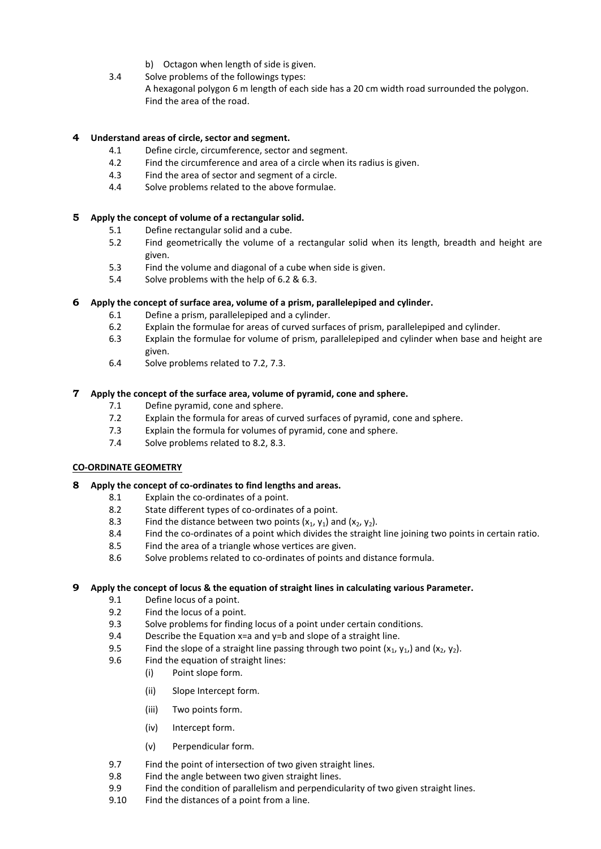- b) Octagon when length of side is given.
- 3.4 Solve problems of the followings types: A hexagonal polygon 6 m length of each side has a 20 cm width road surrounded the polygon. Find the area of the road.

# **4 Understand areas of circle, sector and segment.**

- 4.1 Define circle, circumference, sector and segment.
- 4.2 Find the circumference and area of a circle when its radius is given.
- 4.3 Find the area of sector and segment of a circle.
- 4.4 Solve problems related to the above formulae.

# **5 Apply the concept of volume of a rectangular solid.**

- 5.1 Define rectangular solid and a cube.
- 5.2 Find geometrically the volume of a rectangular solid when its length, breadth and height are given.
- 5.3 Find the volume and diagonal of a cube when side is given.
- 5.4 Solve problems with the help of 6.2 & 6.3.

#### **6 Apply the concept of surface area, volume of a prism, parallelepiped and cylinder.**

- 6.1 Define a prism, parallelepiped and a cylinder.
- 6.2 Explain the formulae for areas of curved surfaces of prism, parallelepiped and cylinder.
- 6.3 Explain the formulae for volume of prism, parallelepiped and cylinder when base and height are given.
- 6.4 Solve problems related to 7.2, 7.3.

#### **7 Apply the concept of the surface area, volume of pyramid, cone and sphere.**

- 7.1 Define pyramid, cone and sphere.
- 7.2 Explain the formula for areas of curved surfaces of pyramid, cone and sphere.
- 7.3 Explain the formula for volumes of pyramid, cone and sphere.
- 7.4 Solve problems related to 8.2, 8.3.

# **CO-ORDINATE GEOMETRY**

# **8 Apply the concept of co-ordinates to find lengths and areas.**

- 8.1 Explain the co-ordinates of a point.
- 8.2 State different types of co-ordinates of a point.
- 8.3 Find the distance between two points  $(x_1, y_1)$  and  $(x_2, y_2)$ .
- 8.4 Find the co-ordinates of a point which divides the straight line joining two points in certain ratio.
- 8.5 Find the area of a triangle whose vertices are given.
- 8.6 Solve problems related to co-ordinates of points and distance formula.

#### **9 Apply the concept of locus & the equation of straight lines in calculating various Parameter.**

- 9.1 Define locus of a point.
- 9.2 Find the locus of a point.
- 9.3 Solve problems for finding locus of a point under certain conditions.
- 9.4 Describe the Equation  $x=a$  and  $y=b$  and slope of a straight line.
- 9.5 Find the slope of a straight line passing through two point  $(x_1, y_1)$  and  $(x_2, y_2)$ .<br>9.6 Find the equation of straight lines:
- Find the equation of straight lines:
	- (i) Point slope form.
	- (ii) Slope Intercept form.
	- (iii) Two points form.
	- (iv) Intercept form.
	- (v) Perpendicular form.
- 9.7 Find the point of intersection of two given straight lines.
- 9.8 Find the angle between two given straight lines.
- 9.9 Find the condition of parallelism and perpendicularity of two given straight lines.
- 9.10 Find the distances of a point from a line.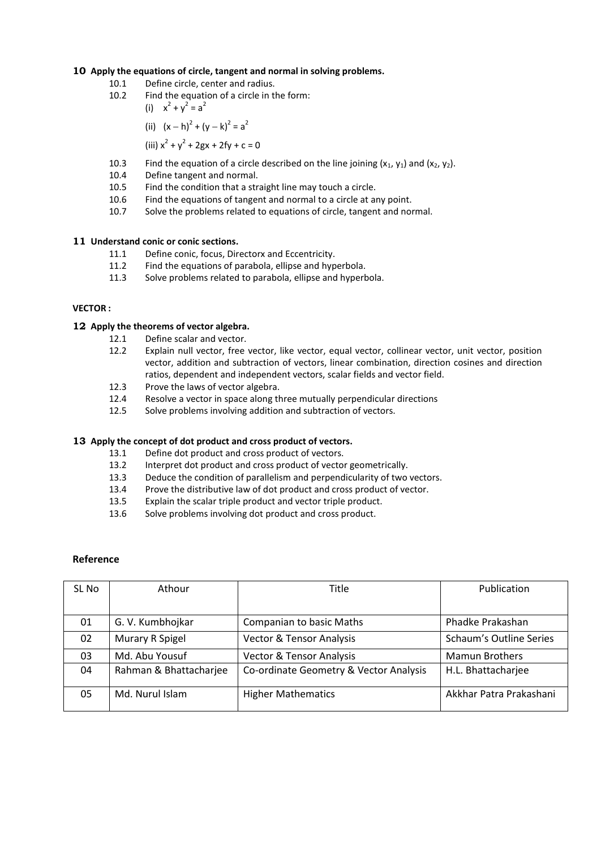#### **10 Apply the equations of circle, tangent and normal in solving problems.**

- 10.1 Define circle, center and radius.
- 10.2 Find the equation of a circle in the form:
	- (i)  $x^2 + y^2 = a^2$

(ii) 
$$
(x-h)^2 + (y-k)^2 = a^2
$$

- (iii)  $x^2 + y^2 + 2gx + 2fy + c = 0$
- 10.3 Find the equation of a circle described on the line joining  $(x_1, y_1)$  and  $(x_2, y_2)$ .
- 10.4 Define tangent and normal.
- 10.5 Find the condition that a straight line may touch a circle.
- 10.6 Find the equations of tangent and normal to a circle at any point.
- 10.7 Solve the problems related to equations of circle, tangent and normal.

#### **11 Understand conic or conic sections.**

- 11.1 Define conic, focus, Directorx and Eccentricity.
- 11.2 Find the equations of parabola, ellipse and hyperbola.
- 11.3 Solve problems related to parabola, ellipse and hyperbola.

#### **VECTOR :**

# **12 Apply the theorems of vector algebra.**

- 12.1 Define scalar and vector.
- 12.2 Explain null vector, free vector, like vector, equal vector, collinear vector, unit vector, position vector, addition and subtraction of vectors, linear combination, direction cosines and direction ratios, dependent and independent vectors, scalar fields and vector field.
- 12.3 Prove the laws of vector algebra.
- 12.4 Resolve a vector in space along three mutually perpendicular directions
- 12.5 Solve problems involving addition and subtraction of vectors.

#### **13 Apply the concept of dot product and cross product of vectors.**

- 13.1 Define dot product and cross product of vectors.
- 13.2 Interpret dot product and cross product of vector geometrically.
- 13.3 Deduce the condition of parallelism and perpendicularity of two vectors.
- 13.4 Prove the distributive law of dot product and cross product of vector.
- 13.5 Explain the scalar triple product and vector triple product.
- 13.6 Solve problems involving dot product and cross product.

#### **Reference**

| SL No | Athour                 | Title                                  | Publication             |  |
|-------|------------------------|----------------------------------------|-------------------------|--|
|       |                        |                                        |                         |  |
| 01    | G. V. Kumbhojkar       | Companian to basic Maths               | Phadke Prakashan        |  |
| 02    | Murary R Spigel        | <b>Vector &amp; Tensor Analysis</b>    | Schaum's Outline Series |  |
| 03    | Md. Abu Yousuf         | <b>Vector &amp; Tensor Analysis</b>    | <b>Mamun Brothers</b>   |  |
| 04    | Rahman & Bhattacharjee | Co-ordinate Geometry & Vector Analysis | H.L. Bhattacharjee      |  |
| 05    | Md. Nurul Islam        | <b>Higher Mathematics</b>              | Akkhar Patra Prakashani |  |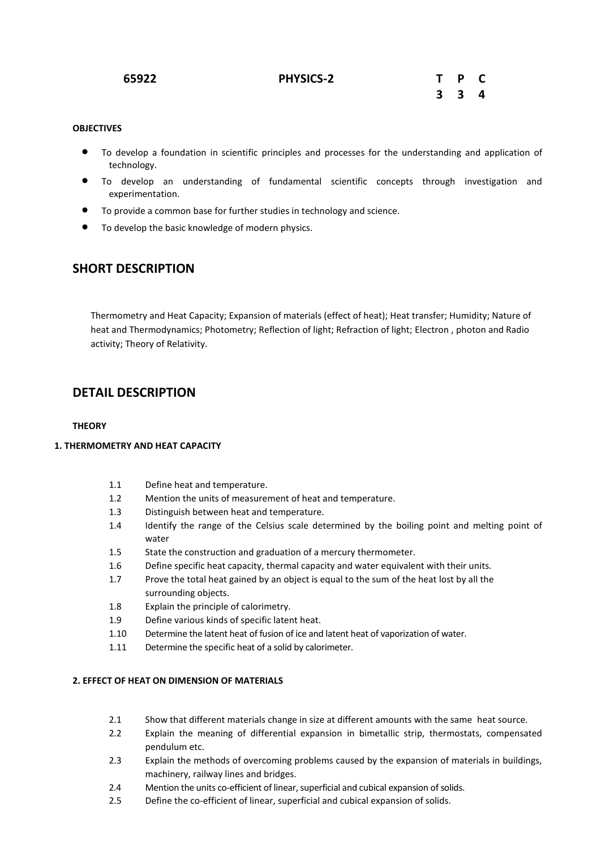| 65922 | <b>PHYSICS-2</b> | T P C |  |
|-------|------------------|-------|--|
|       |                  | 3 3 4 |  |

# **OBJECTIVES**

- To develop a foundation in scientific principles and processes for the understanding and application of technology.
- To develop an understanding of fundamental scientific concepts through investigation and experimentation.
- To provide a common base for further studies in technology and science.
- To develop the basic knowledge of modern physics.

# **SHORT DESCRIPTION**

Thermometry and Heat Capacity; Expansion of materials (effect of heat); Heat transfer; Humidity; Nature of heat and Thermodynamics; Photometry; Reflection of light; Refraction of light; Electron , photon and Radio activity; Theory of Relativity.

# **DETAIL DESCRIPTION**

# **THEORY**

## **1. THERMOMETRY AND HEAT CAPACITY**

- 1.1 Define heat and temperature.
- 1.2 Mention the units of measurement of heat and temperature.
- 1.3 Distinguish between heat and temperature.
- 1.4 Identify the range of the Celsius scale determined by the boiling point and melting point of water
- 1.5 State the construction and graduation of a mercury thermometer.
- 1.6 Define specific heat capacity, thermal capacity and water equivalent with their units.
- 1.7 Prove the total heat gained by an object is equal to the sum of the heat lost by all the surrounding objects.
- 1.8 Explain the principle of calorimetry.
- 1.9 Define various kinds of specific latent heat.
- 1.10 Determine the latent heat of fusion of ice and latent heat of vaporization of water.
- 1.11 Determine the specific heat of a solid by calorimeter.

#### **2. EFFECT OF HEAT ON DIMENSION OF MATERIALS**

- 2.1 Show that different materials change in size at different amounts with the same heat source.
- 2.2 Explain the meaning of differential expansion in bimetallic strip, thermostats, compensated pendulum etc.
- 2.3 Explain the methods of overcoming problems caused by the expansion of materials in buildings, machinery, railway lines and bridges.
- 2.4 Mention the units co-efficient of linear, superficial and cubical expansion of solids.
- 2.5 Define the co-efficient of linear, superficial and cubical expansion of solids.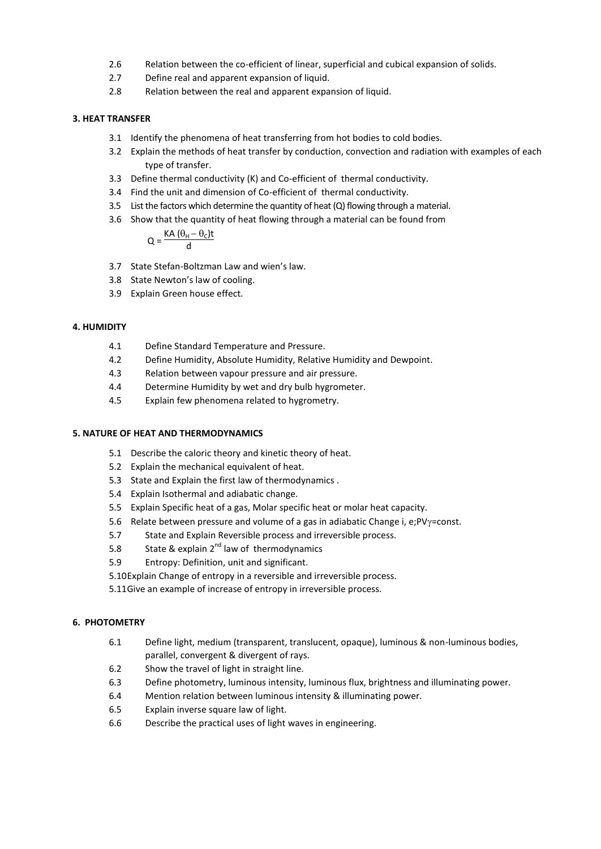- 2.6 Relation between the co-efficient of linear, superficial and cubical expansion of solids.
- 2.7 Define real and apparent expansion of liquid.
- 2.8 Relation between the real and apparent expansion of liquid.

#### **3. HEAT TRANSFER**

- 3.1 Identify the phenomena of heat transferring from hot bodies to cold bodies.
- 3.2 Explain the methods of heat transfer by conduction, convection and radiation with examples of each type of transfer.
- 3.3 Define thermal conductivity (K) and Co-efficient of thermal conductivity.
- 3.4 Find the unit and dimension of Co-efficient of thermal conductivity.
- 3.5 List the factors which determine the quantity of heat (Q) flowing through a material.
- 3.6 Show that the quantity of heat flowing through a material can be found from

$$
Q = \frac{KA(\theta_H - \theta_C)t}{d}
$$

- 3.7 State Stefan-Boltzman Law and wien's law.
- 3.8 State Newton's law of cooling.
- 3.9 Explain Green house effect.

#### **4. HUMIDITY**

- 4.1 Define Standard Temperature and Pressure.
- 4.2 Define Humidity, Absolute Humidity, Relative Humidity and Dewpoint.
- 4.3 Relation between vapour pressure and air pressure.
- 4.4 Determine Humidity by wet and dry bulb hygrometer.
- 4.5 Explain few phenomena related to hygrometry.

#### **5. NATURE OF HEAT AND THERMODYNAMICS**

- 5.1 Describe the caloric theory and kinetic theory of heat.
- 5.2 Explain the mechanical equivalent of heat.
- 5.3 State and Explain the first law of thermodynamics .
- 5.4 Explain Isothermal and adiabatic change.
- 5.5 Explain Specific heat of a gas, Molar specific heat or molar heat capacity.
- 5.6 Relate between pressure and volume of a gas in adiabatic Change i, e; $PV\gamma$ =const.
- 5.7 State and Explain Reversible process and irreversible process.
- 5.8 State & explain  $2^{nd}$  law of thermodynamics
- 5.9 Entropy: Definition, unit and significant.
- 5.10Explain Change of entropy in a reversible and irreversible process.
- 5.11Give an example of increase of entropy in irreversible process.

#### **6. PHOTOMETRY**

- 6.1 Define light, medium (transparent, translucent, opaque), luminous & non-luminous bodies, parallel, convergent & divergent of rays.
- 6.2 Show the travel of light in straight line.
- 6.3 Define photometry, luminous intensity, luminous flux, brightness and illuminating power.
- 6.4 Mention relation between luminous intensity & illuminating power.
- 6.5 Explain inverse square law of light.
- 6.6 Describe the practical uses of light waves in engineering.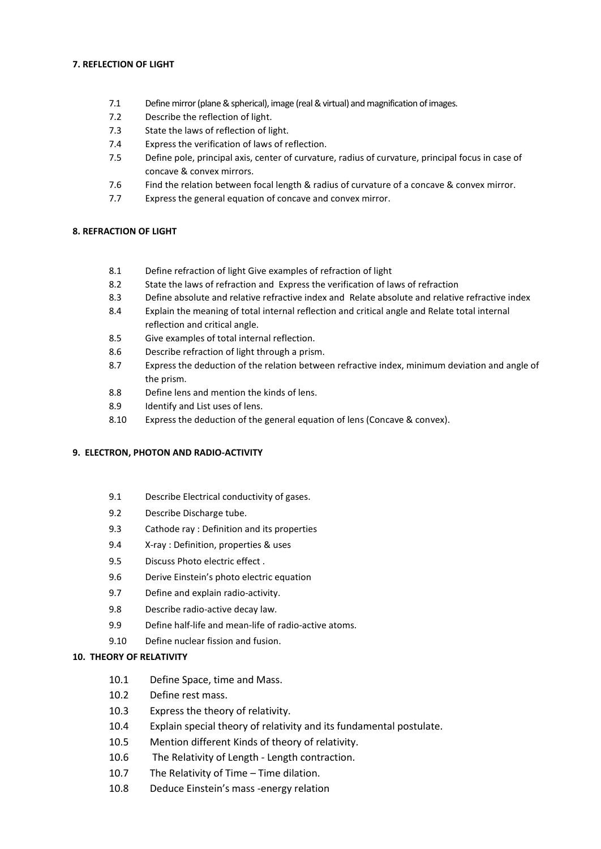#### **7. REFLECTION OF LIGHT**

- 7.1 Define mirror (plane & spherical), image (real & virtual) and magnification of images.
- 7.2 Describe the reflection of light.
- 7.3 State the laws of reflection of light.
- 7.4 Express the verification of laws of reflection.
- 7.5 Define pole, principal axis, center of curvature, radius of curvature, principal focus in case of concave & convex mirrors.
- 7.6 Find the relation between focal length & radius of curvature of a concave & convex mirror.
- 7.7 Express the general equation of concave and convex mirror.

#### **8. REFRACTION OF LIGHT**

- 8.1 Define refraction of light Give examples of refraction of light
- 8.2 State the laws of refraction and Express the verification of laws of refraction
- 8.3 Define absolute and relative refractive index and Relate absolute and relative refractive index
- 8.4 Explain the meaning of total internal reflection and critical angle and Relate total internal reflection and critical angle.
- 8.5 Give examples of total internal reflection.
- 8.6 Describe refraction of light through a prism.
- 8.7 Express the deduction of the relation between refractive index, minimum deviation and angle of the prism.
- 8.8 Define lens and mention the kinds of lens.
- 8.9 Identify and List uses of lens.
- 8.10 Express the deduction of the general equation of lens (Concave & convex).

#### **9. ELECTRON, PHOTON AND RADIO-ACTIVITY**

- 9.1 Describe Electrical conductivity of gases.
- 9.2 Describe Discharge tube.
- 9.3 Cathode ray : Definition and its properties
- 9.4 X-ray : Definition, properties & uses
- 9.5 Discuss Photo electric effect .
- 9.6 Derive Einstein's photo electric equation
- 9.7 Define and explain radio-activity.
- 9.8 Describe radio-active decay law.
- 9.9 Define half-life and mean-life of radio-active atoms.
- 9.10 Define nuclear fission and fusion.

# **10. THEORY OF RELATIVITY**

- 10.1 Define Space, time and Mass.
- 10.2 Define rest mass.
- 10.3 Express the theory of relativity.
- 10.4 Explain special theory of relativity and its fundamental postulate.
- 10.5 Mention different Kinds of theory of relativity.
- 10.6 The Relativity of Length Length contraction.
- 10.7 The Relativity of Time Time dilation.
- 10.8 Deduce Einstein's mass -energy relation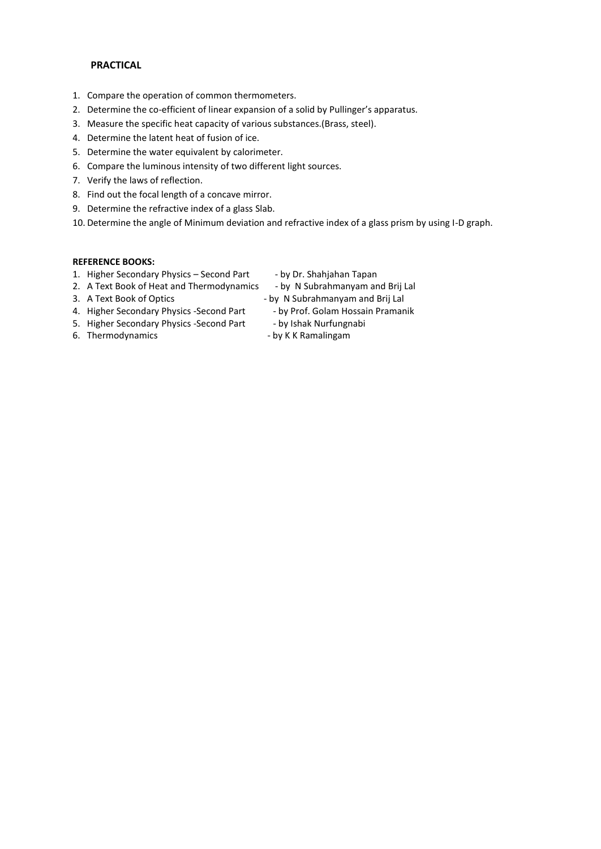#### **PRACTICAL**

- 1. Compare the operation of common thermometers.
- 2. Determine the co-efficient of linear expansion of a solid by Pullinger's apparatus.
- 3. Measure the specific heat capacity of various substances.(Brass, steel).
- 4. Determine the latent heat of fusion of ice.
- 5. Determine the water equivalent by calorimeter.
- 6. Compare the luminous intensity of two different light sources.
- 7. Verify the laws of reflection.
- 8. Find out the focal length of a concave mirror.
- 9. Determine the refractive index of a glass Slab.
- 10. Determine the angle of Minimum deviation and refractive index of a glass prism by using I-D graph.

# **REFERENCE BOOKS:**

- 1. Higher Secondary Physics Second Part by Dr. Shahjahan Tapan
- 2. A Text Book of Heat and Thermodynamics by N Subrahmanyam and Brij Lal
- 
- 
- 3. A Text Book of Optics by N Subrahmanyam and Brij Lal
- 4. Higher Secondary Physics -Second Part by Prof. Golam Hossain Pramanik
- 5. Higher Secondary Physics -Second Part by Ishak Nurfungnabi
- 6. Thermodynamics **and State Communist Communist Communist Communist Communist Communist Communist Communist Communist Communist Communist Communist Communist Communist Communist Communist Communist Communist Communist Com**
- 
-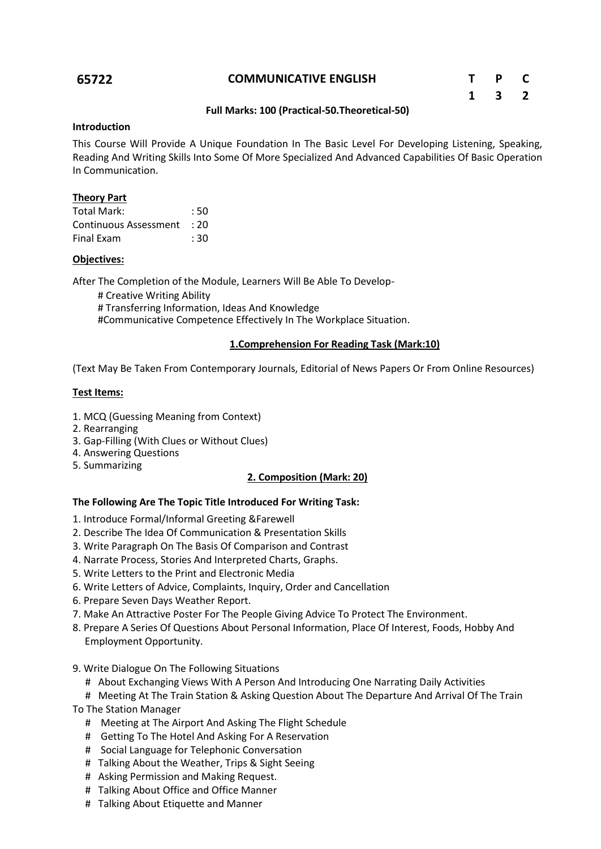# **65722 COMMUNICATIVE ENGLISH T P C**

| $\mathbf{T}$ | P                       | C              |
|--------------|-------------------------|----------------|
| 1            | $\overline{\mathbf{3}}$ | $\overline{2}$ |

# **Full Marks: 100 (Practical-50.Theoretical-50)**

#### **Introduction**

This Course Will Provide A Unique Foundation In The Basic Level For Developing Listening, Speaking, Reading And Writing Skills Into Some Of More Specialized And Advanced Capabilities Of Basic Operation In Communication.

# **Theory Part**

| Total Mark:           | : 50 |
|-----------------------|------|
| Continuous Assessment | : 20 |
| Final Exam            | : 30 |

# **Objectives:**

After The Completion of the Module, Learners Will Be Able To Develop-

 # Creative Writing Ability # Transferring Information, Ideas And Knowledge #Communicative Competence Effectively In The Workplace Situation.

# **1.Comprehension For Reading Task (Mark:10)**

(Text May Be Taken From Contemporary Journals, Editorial of News Papers Or From Online Resources)

# **Test Items:**

- 1. MCQ (Guessing Meaning from Context)
- 2. Rearranging
- 3. Gap-Filling (With Clues or Without Clues)
- 4. Answering Questions
- 5. Summarizing

# **2. Composition (Mark: 20)**

# **The Following Are The Topic Title Introduced For Writing Task:**

- 1. Introduce Formal/Informal Greeting &Farewell
- 2. Describe The Idea Of Communication & Presentation Skills
- 3. Write Paragraph On The Basis Of Comparison and Contrast
- 4. Narrate Process, Stories And Interpreted Charts, Graphs.
- 5. Write Letters to the Print and Electronic Media
- 6. Write Letters of Advice, Complaints, Inquiry, Order and Cancellation
- 6. Prepare Seven Days Weather Report.
- 7. Make An Attractive Poster For The People Giving Advice To Protect The Environment.
- 8. Prepare A Series Of Questions About Personal Information, Place Of Interest, Foods, Hobby And Employment Opportunity.
- 9. Write Dialogue On The Following Situations
	- # About Exchanging Views With A Person And Introducing One Narrating Daily Activities
	- # Meeting At The Train Station & Asking Question About The Departure And Arrival Of The Train
- To The Station Manager
	- # Meeting at The Airport And Asking The Flight Schedule
	- # Getting To The Hotel And Asking For A Reservation
	- # Social Language for Telephonic Conversation
	- # Talking About the Weather, Trips & Sight Seeing
	- # Asking Permission and Making Request.
	- # Talking About Office and Office Manner
	- # Talking About Etiquette and Manner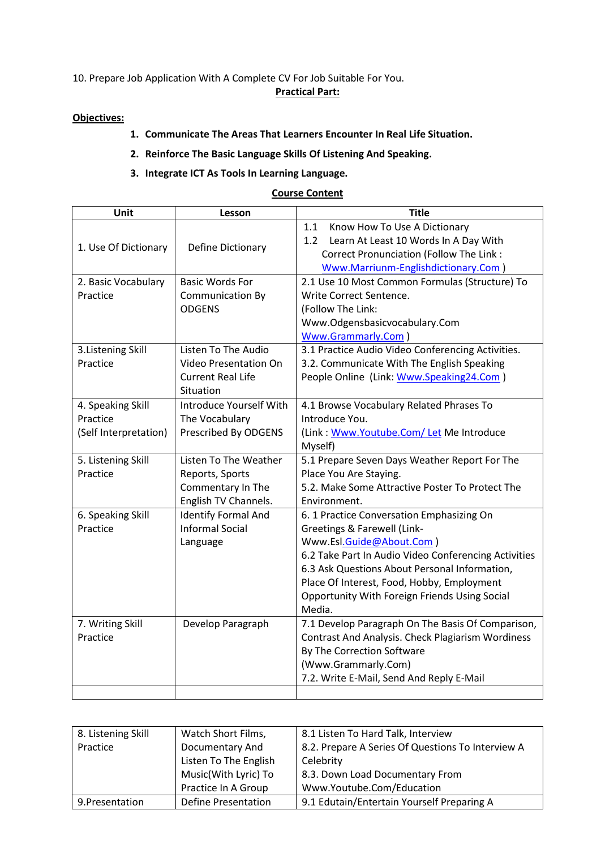10. Prepare Job Application With A Complete CV For Job Suitable For You.

# **Practical Part:**

# **Objectives:**

- **1. Communicate The Areas That Learners Encounter In Real Life Situation.**
- **2. Reinforce The Basic Language Skills Of Listening And Speaking.**

# **3. Integrate ICT As Tools In Learning Language.**

# **Course Content**

| Unit                  | Lesson                       | <b>Title</b>                                             |  |
|-----------------------|------------------------------|----------------------------------------------------------|--|
|                       |                              | Know How To Use A Dictionary<br>1.1                      |  |
| 1. Use Of Dictionary  | Define Dictionary            | Learn At Least 10 Words In A Day With<br>1.2             |  |
|                       |                              | Correct Pronunciation (Follow The Link:                  |  |
|                       |                              | Www.Marriunm-Englishdictionary.Com)                      |  |
| 2. Basic Vocabulary   | <b>Basic Words For</b>       | 2.1 Use 10 Most Common Formulas (Structure) To           |  |
| Practice              | <b>Communication By</b>      | Write Correct Sentence.                                  |  |
|                       | <b>ODGENS</b>                | (Follow The Link:                                        |  |
|                       |                              | Www.Odgensbasicvocabulary.Com                            |  |
|                       |                              | <b>Www.Grammarly.Com</b> )                               |  |
| 3. Listening Skill    | Listen To The Audio          | 3.1 Practice Audio Video Conferencing Activities.        |  |
| Practice              | Video Presentation On        | 3.2. Communicate With The English Speaking               |  |
|                       | <b>Current Real Life</b>     | People Online (Link: Www.Speaking24.Com)                 |  |
|                       | Situation                    |                                                          |  |
| 4. Speaking Skill     | Introduce Yourself With      | 4.1 Browse Vocabulary Related Phrases To                 |  |
| Practice              | The Vocabulary               | Introduce You.                                           |  |
| (Self Interpretation) | Prescribed By ODGENS         | (Link: Www.Youtube.Com/Let Me Introduce                  |  |
|                       |                              | Myself)                                                  |  |
| 5. Listening Skill    | <b>Listen To The Weather</b> | 5.1 Prepare Seven Days Weather Report For The            |  |
| Practice              | Reports, Sports              | Place You Are Staying.                                   |  |
|                       | Commentary In The            | 5.2. Make Some Attractive Poster To Protect The          |  |
|                       | English TV Channels.         | Environment.                                             |  |
| 6. Speaking Skill     | <b>Identify Formal And</b>   | 6. 1 Practice Conversation Emphasizing On                |  |
| Practice              | <b>Informal Social</b>       | Greetings & Farewell (Link-                              |  |
|                       | Language                     | Www.Esl.Guide@About.Com)                                 |  |
|                       |                              | 6.2 Take Part In Audio Video Conferencing Activities     |  |
|                       |                              | 6.3 Ask Questions About Personal Information,            |  |
|                       |                              | Place Of Interest, Food, Hobby, Employment               |  |
|                       |                              | Opportunity With Foreign Friends Using Social            |  |
|                       |                              | Media.                                                   |  |
| 7. Writing Skill      | Develop Paragraph            | 7.1 Develop Paragraph On The Basis Of Comparison,        |  |
| Practice              |                              | <b>Contrast And Analysis. Check Plagiarism Wordiness</b> |  |
|                       |                              | By The Correction Software                               |  |
|                       |                              | (Www.Grammarly.Com)                                      |  |
|                       |                              | 7.2. Write E-Mail, Send And Reply E-Mail                 |  |

| 8. Listening Skill | Watch Short Films,    | 8.1 Listen To Hard Talk, Interview                |
|--------------------|-----------------------|---------------------------------------------------|
| Practice           | Documentary And       | 8.2. Prepare A Series Of Questions To Interview A |
|                    | Listen To The English | Celebrity                                         |
|                    | Music(With Lyric) To  | 8.3. Down Load Documentary From                   |
|                    | Practice In A Group   | Www.Youtube.Com/Education                         |
| 9. Presentation    | Define Presentation   | 9.1 Edutain/Entertain Yourself Preparing A        |